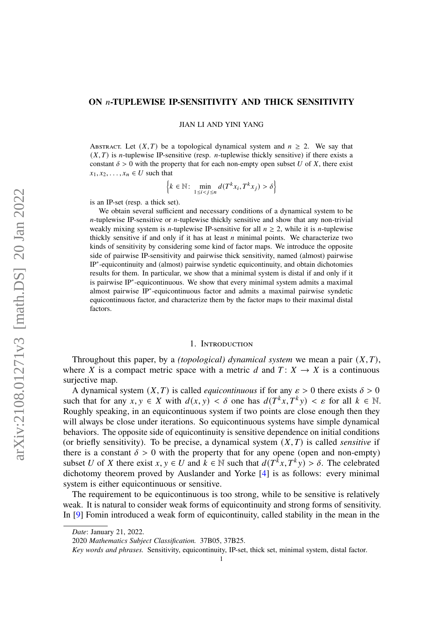# **ON -TUPLEWISE IP-SENSITIVITY AND THICK SENSITIVITY**

JIAN LI AND YINI YANG

ABSTRACT. Let  $(X, T)$  be a topological dynamical system and  $n \ge 2$ . We say that  $(X, T)$  is *n*-tuplewise IP-sensitive (resp. *n*-tuplewise thickly sensitive) if there exists a constant  $\delta > 0$  with the property that for each non-empty open subset U of X, there exist  $x_1, x_2, \ldots, x_n \in U$  such that

$$
\left\{k \in \mathbb{N} : \min_{1 \le i < j \le n} d(T^k x_i, T^k x_j) > \delta\right\}
$$

is an IP-set (resp. a thick set).

We obtain several sufficient and necessary conditions of a dynamical system to be  $n$ -tuplewise IP-sensitive or  $n$ -tuplewise thickly sensitive and show that any non-trivial weakly mixing system is *n*-tuplewise IP-sensitive for all  $n \ge 2$ , while it is *n*-tuplewise thickly sensitive if and only if it has at least  $n$  minimal points. We characterize two kinds of sensitivity by considering some kind of factor maps. We introduce the opposite side of pairwise IP-sensitivity and pairwise thick sensitivity, named (almost) pairwise IP<sup>∗</sup> -equicontinuity and (almost) pairwise syndetic equicontinuity, and obtain dichotomies results for them. In particular, we show that a minimal system is distal if and only if it is pairwise IP<sup>∗</sup> -equicontinuous. We show that every minimal system admits a maximal almost pairwise IP<sup>∗</sup> -equicontinuous factor and admits a maximal pairwise syndetic equicontinuous factor, and characterize them by the factor maps to their maximal distal factors.

#### 1. Introduction

Throughout this paper, by a *(topological) dynamical system* we mean a pair  $(X, T)$ , where X is a compact metric space with a metric d and  $T: X \rightarrow X$  is a continuous surjective map.

A dynamical system  $(X, T)$  is called *equicontinuous* if for any  $\varepsilon > 0$  there exists  $\delta > 0$ such that for any  $x, y \in X$  with  $d(x, y) < \delta$  one has  $d(T^k x, T^k y) < \varepsilon$  for all  $k \in \mathbb{N}$ . Roughly speaking, in an equicontinuous system if two points are close enough then they will always be close under iterations. So equicontinuous systems have simple dynamical behaviors. The opposite side of equicontinuity is sensitive dependence on initial conditions (or briefly sensitivity). To be precise, a dynamical system  $(X, T)$  is called *sensitive* if there is a constant  $\delta > 0$  with the property that for any opene (open and non-empty) subset U of X there exist  $x, y \in U$  and  $k \in \mathbb{N}$  such that  $d(T^k x, T^k y) > \delta$ . The celebrated dichotomy theorem proved by Auslander and Yorke [\[4\]](#page-17-0) is as follows: every minimal system is either equicontinuous or sensitive.

The requirement to be equicontinuous is too strong, while to be sensitive is relatively weak. It is natural to consider weak forms of equicontinuity and strong forms of sensitivity. In [\[9\]](#page-17-1) Fomin introduced a weak form of equicontinuity, called stability in the mean in the

*Date*: January 21, 2022.

<sup>2020</sup> *Mathematics Subject Classification.* 37B05, 37B25.

*Key words and phrases.* Sensitivity, equicontinuity, IP-set, thick set, minimal system, distal factor.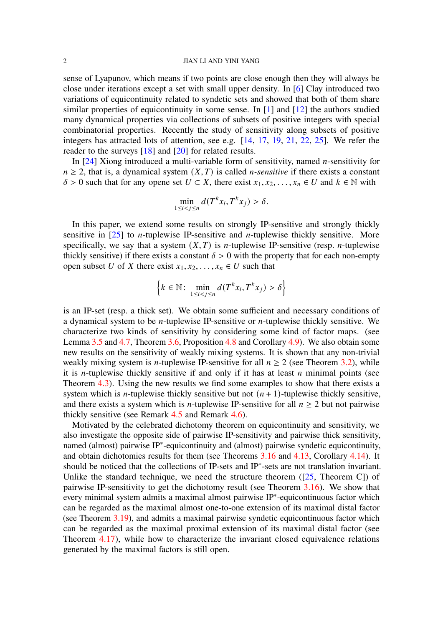sense of Lyapunov, which means if two points are close enough then they will always be close under iterations except a set with small upper density. In [\[6\]](#page-17-2) Clay introduced two variations of equicontinuity related to syndetic sets and showed that both of them share similar properties of equicontinuity in some sense. In  $[1]$  and  $[12]$  the authors studied many dynamical properties via collections of subsets of positive integers with special combinatorial properties. Recently the study of sensitivity along subsets of positive integers has attracted lots of attention, see e.g. [\[14,](#page-17-5) [17,](#page-18-0) [19,](#page-18-1) [21,](#page-18-2) [22,](#page-18-3) [25\]](#page-18-4). We refer the reader to the surveys [\[18\]](#page-18-5) and [\[20\]](#page-18-6) for related results.

In  $[24]$  Xiong introduced a multi-variable form of sensitivity, named *n*-sensitivity for  $n \geq 2$ , that is, a dynamical system  $(X, T)$  is called *n*-sensitive if there exists a constant  $\delta > 0$  such that for any opene set  $U \subset X$ , there exist  $x_1, x_2, \ldots, x_n \in U$  and  $k \in \mathbb{N}$  with

$$
\min_{1 \le i < j \le n} d(T^k x_i, T^k x_j) > \delta.
$$

In this paper, we extend some results on strongly IP-sensitive and strongly thickly sensitive in  $[25]$  to *n*-tuplewise IP-sensitive and *n*-tuplewise thickly sensitive. More specifically, we say that a system  $(X, T)$  is *n*-tuplewise IP-sensitive (resp. *n*-tuplewise thickly sensitive) if there exists a constant  $\delta > 0$  with the property that for each non-empty open subset U of X there exist  $x_1, x_2, \ldots, x_n \in U$  such that

$$
\left\{k \in \mathbb{N}: \min_{1 \le i < j \le n} d(T^k x_i, T^k x_j) > \delta\right\}
$$

is an IP-set (resp. a thick set). We obtain some sufficient and necessary conditions of a dynamical system to be *n*-tuplewise IP-sensitive or *n*-tuplewise thickly sensitive. We characterize two kinds of sensitivity by considering some kind of factor maps. (see Lemma [3.5](#page-6-0) and [4.7,](#page-13-0) Theorem [3.6,](#page-7-0) Proposition [4.8](#page-13-1) and Corollary [4.9\)](#page-14-0). We also obtain some new results on the sensitivity of weakly mixing systems. It is shown that any non-trivial weakly mixing system is *n*-tuplewise IP-sensitive for all  $n \ge 2$  (see Theorem [3.2\)](#page-5-0), while it is *n*-tuplewise thickly sensitive if and only if it has at least *n* minimal points (see Theorem [4.3\)](#page-12-0). Using the new results we find some examples to show that there exists a system which is *n*-tuplewise thickly sensitive but not  $(n + 1)$ -tuplewise thickly sensitive, and there exists a system which is *n*-tuplewise IP-sensitive for all  $n \ge 2$  but not pairwise thickly sensitive (see Remark [4.5](#page-13-2) and Remark [4.6\)](#page-13-3).

Motivated by the celebrated dichotomy theorem on equicontinuity and sensitivity, we also investigate the opposite side of pairwise IP-sensitivity and pairwise thick sensitivity, named (almost) pairwise IP<sup>∗</sup> -equicontinuity and (almost) pairwise syndetic equicontinuity, and obtain dichotomies results for them (see Theorems [3.16](#page-9-0) and [4.13,](#page-15-0) Corollary [4.14\)](#page-16-0). It should be noticed that the collections of IP-sets and IP<sup>∗</sup> -sets are not translation invariant. Unlike the standard technique, we need the structure theorem  $(25,$  Theorem C]) of pairwise IP-sensitivity to get the dichotomy result (see Theorem [3.16\)](#page-9-0). We show that every minimal system admits a maximal almost pairwise IP<sup>∗</sup> -equicontinuous factor which can be regarded as the maximal almost one-to-one extension of its maximal distal factor (see Theorem [3.19\)](#page-10-0), and admits a maximal pairwise syndetic equicontinuous factor which can be regarded as the maximal proximal extension of its maximal distal factor (see Theorem [4.17\)](#page-16-1), while how to characterize the invariant closed equivalence relations generated by the maximal factors is still open.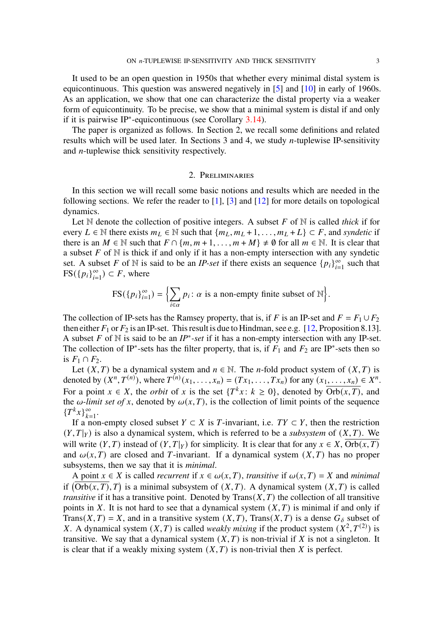It used to be an open question in 1950s that whether every minimal distal system is equicontinuous. This question was answered negatively in [\[5\]](#page-17-6) and [\[10\]](#page-17-7) in early of 1960s. As an application, we show that one can characterize the distal property via a weaker form of equicontinuity. To be precise, we show that a minimal system is distal if and only if it is pairwise IP<sup>∗</sup> -equicontinuous (see Corollary [3.14\)](#page-9-1).

The paper is organized as follows. In Section 2, we recall some definitions and related results which will be used later. In Sections 3 and 4, we study  $n$ -tuplewise IP-sensitivity and  $n$ -tuplewise thick sensitivity respectively.

#### 2. Preliminaries

In this section we will recall some basic notions and results which are needed in the following sections. We refer the reader to  $[1]$ ,  $[3]$  and  $[12]$  for more details on topological dynamics.

Let  $\mathbb N$  denote the collection of positive integers. A subset F of  $\mathbb N$  is called *thick* if for every  $L \in \mathbb{N}$  there exists  $m_L \in \mathbb{N}$  such that  $\{m_L, m_L + 1, \dots, m_L + L\} \subset F$ , and *syndetic* if there is an  $M \in \mathbb{N}$  such that  $F \cap \{m, m+1, \ldots, m+M\} \neq \emptyset$  for all  $m \in \mathbb{N}$ . It is clear that a subset  $F$  of  $N$  is thick if and only if it has a non-empty intersection with any syndetic set. A subset F of N is said to be an *IP-set* if there exists an sequence  $\{p_i\}_{i=1}^{\infty}$  such that  $FS({p_i}_{i=1}^{\infty}) \subset F$ , where

$$
FS({p_i}_{i=1}^{\infty}) = \Bigl\{\sum_{i \in \alpha} p_i : \alpha \text{ is a non-empty finite subset of } \mathbb{N}\Bigr\}.
$$

The collection of IP-sets has the Ramsey property, that is, if F is an IP-set and  $F = F_1 \cup F_2$ then either  $F_1$  or  $F_2$  is an IP-set. This result is due to Hindman, see e.g. [\[12,](#page-17-4) Proposition 8.13]. A subset  $F$  of  $N$  is said to be an  $IP^*$ -set if it has a non-empty intersection with any IP-set. The collection of IP<sup>\*</sup>-sets has the filter property, that is, if  $F_1$  and  $F_2$  are IP<sup>\*</sup>-sets then so is  $F_1 \cap F_2$ .

Let  $(X, T)$  be a dynamical system and  $n \in \mathbb{N}$ . The *n*-fold product system of  $(X, T)$  is denoted by  $(X^n, T^{(n)})$ , where  $T^{(n)}(x_1, ..., x_n) = (Tx_1, ..., Tx_n)$  for any  $(x_1, ..., x_n) \in X^n$ . For a point  $x \in X$ , the *orbit* of x is the set  $\{T^k x : k \ge 0\}$ , denoted by  $\overline{Orb(x,T)}$ , and the  $\omega$ -limit set of x, denoted by  $\omega(x, T)$ , is the collection of limit points of the sequence  ${T^k x}_{k=1}^{\infty}$ .

If a non-empty closed subset  $Y \subset X$  is T-invariant, i.e.  $TY \subset Y$ , then the restriction  $(Y, T|_Y)$  is also a dynamical system, which is referred to be a *subsystem* of  $(X, T)$ . We will write  $(Y, T)$  instead of  $(Y, T|_Y)$  for simplicity. It is clear that for any  $x \in X$ , Orb $(x, T)$ and  $\omega(x, T)$  are closed and T-invariant. If a dynamical system  $(X, T)$  has no proper subsystems, then we say that it is *minimal*.

A point  $x \in X$  is called *recurrent* if  $x \in \omega(x, T)$ , *transitive* if  $\omega(x, T) = X$  and *minimal* if  $( \overline{\text{Orb}(x,T)}, T )$  is a minimal subsystem of  $(X, T)$ . A dynamical system  $(X, T)$  is called *transitive* if it has a transitive point. Denoted by  $Trans(X, T)$  the collection of all transitive points in X. It is not hard to see that a dynamical system  $(X, T)$  is minimal if and only if Trans(X, T) = X, and in a transitive system  $(X, T)$ , Trans(X, T) is a dense  $G_{\delta}$  subset of X. A dynamical system  $(X, T)$  is called *weakly mixing* if the product system  $(X^2, T^{(2)})$  is transitive. We say that a dynamical system  $(X, T)$  is non-trivial if X is not a singleton. It is clear that if a weakly mixing system  $(X, T)$  is non-trivial then X is perfect.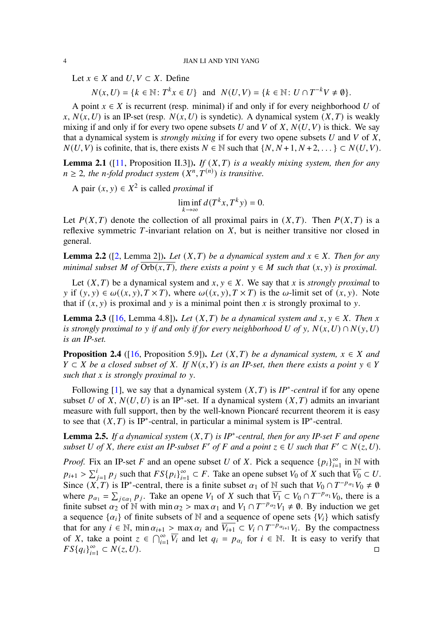Let  $x \in X$  and  $U, V \subset X$ . Define

 $N(x, U) = \{k \in \mathbb{N} : T^k x \in U\}$  and  $N(U, V) = \{k \in \mathbb{N} : U \cap T^{-k} V \neq \emptyset\}.$ 

A point  $x \in X$  is recurrent (resp. minimal) if and only if for every neighborhood U of x,  $N(x, U)$  is an IP-set (resp.  $N(x, U)$  is syndetic). A dynamical system  $(X, T)$  is weakly mixing if and only if for every two opene subsets U and V of X,  $N(U, V)$  is thick. We say that a dynamical system is *strongly mixing* if for every two opene subsets  $U$  and  $V$  of  $X$ ,  $N(U, V)$  is cofinite, that is, there exists  $N \in \mathbb{N}$  such that  $\{N, N+1, N+2, \dots\} \subset N(U, V)$ .

<span id="page-3-3"></span>**Lemma 2.1** ([\[11,](#page-17-9) Proposition II.3]). *If*  $(X, T)$  *is a weakly mixing system, then for any*  $n \geq 2$ , the *n*-fold product system  $(X^n, \overset{\cdot}{T}^{(n)})$  is transitive.

A pair  $(x, y) \in X^2$  is called *proximal* if

 $\liminf_{k \to \infty} d(T^k x, T^k y) = 0.$ 

Let  $P(X, T)$  denote the collection of all proximal pairs in  $(X, T)$ . Then  $P(X, T)$  is a reflexive symmetric  $T$ -invariant relation on  $X$ , but is neither transitive nor closed in general.

<span id="page-3-0"></span>**Lemma 2.2** ([\[2,](#page-17-10) Lemma 2]). *Let*  $(X, T)$  *be a dynamical system and*  $x \in X$ . *Then for any minimal subset* M of  $\overline{Orb(x,T)}$ , there exists a point  $y \in M$  such that  $(x, y)$  is proximal.

Let  $(X, T)$  be a dynamical system and  $x, y \in X$ . We say that x is *strongly proximal* to y if  $(y, y) \in \omega((x, y), T \times T)$ , where  $\omega((x, y), T \times T)$  is the  $\omega$ -limit set of  $(x, y)$ . Note that if  $(x, y)$  is proximal and y is a minimal point then x is strongly proximal to y.

<span id="page-3-1"></span>**Lemma 2.3** ([\[16,](#page-18-8) Lemma 4.8]). *Let*  $(X, T)$  *be a dynamical system and*  $x, y \in X$ . *Then*  $x$ *is strongly proximal to y if and only if for every neighborhood U of y,*  $N(x, U) \cap N(y, U)$ *is an IP-set.*

<span id="page-3-2"></span>**Proposition 2.4** ([\[16,](#page-18-8) Proposition 5.9]). *Let*  $(X, T)$  *be a dynamical system,*  $x \in X$  *and*  $Y \subset X$  be a closed subset of X. If  $N(x, Y)$  is an IP-set, then there exists a point  $y \in Y$ *such that is strongly proximal to .*

Following [\[1\]](#page-17-3), we say that a dynamical system  $(X, T)$  is *IP<sup>\*</sup>*-central if for any opene subset U of X,  $N(U, U)$  is an IP<sup>\*</sup>-set. If a dynamical system  $(X, T)$  admits an invariant measure with full support, then by the well-known Pioncaré recurrent theorem it is easy to see that  $(X, T)$  is IP<sup>\*</sup>-central, in particular a minimal system is IP<sup>\*</sup>-central.

<span id="page-3-4"></span>**Lemma 2.5.** If a dynamical system  $(X, T)$  is IP<sup>\*</sup>-central, then for any IP-set F and opene subset U of X, there exist an IP-subset F' of F and a point  $z \in U$  such that  $F' \subset N(z, U)$ .

*Proof.* Fix an IP-set F and an opene subset U of X. Pick a sequence  ${p_i}_{i=1}^{\infty}$  in N with  $p_{i+1} > \sum_{j=1}^{i} p_j$  such that  $FS\{p_i\}_{i=1}^{\infty} \subset F$ . Take an opene subset  $V_0$  of X such that  $\overline{V_0} \subset U$ . Since  $(X, T)$  is IP<sup>\*</sup>-central, there is a finite subset  $\alpha_1$  of N such that  $V_0 \cap T^{-p_{\alpha_1}}V_0 \neq \emptyset$ where  $p_{\alpha_1} = \sum_{j \in \alpha_1} p_j$ . Take an opene  $V_1$  of X such that  $\overline{V_1} \subset V_0 \cap T^{-p_{\alpha_1}}V_0$ , there is a finite subset  $\alpha_2$  of N with min  $\alpha_2 > \max \alpha_1$  and  $V_1 \cap T^{-p_{\alpha_2}}V_1 \neq \emptyset$ . By induction we get a sequence  $\{\alpha_i\}$  of finite subsets of N and a sequence of opene sets  $\{V_i\}$  which satisfy that for any  $i \in \mathbb{N}$ , min  $\alpha_{i+1} > \max \alpha_i$  and  $\overline{V_{i+1}} \subset V_i \cap T^{-\overline{p}_{\alpha_{i+1}}}V_i$ . By the compactness of X, take a point  $z \in \bigcap_{i=1}^{\infty} \overline{V_i}$  and let  $q_i = p_{\alpha_i}$  for  $i \in \mathbb{N}$ . It is easy to verify that  $FS{q_i}_{i=1}^{\infty}$  $\subset N(z, U).$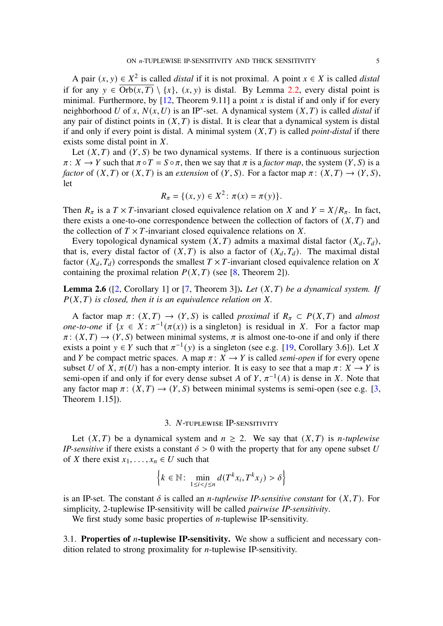A pair  $(x, y) \in X^2$  is called *distal* if it is not proximal. A point  $x \in X$  is called *distal* if for any  $y \in \overline{Orb(x,T)} \setminus \{x\}, (x, y)$  is distal. By Lemma [2.2,](#page-3-0) every distal point is minimal. Furthermore, by  $[12,$  Theorem 9.11] a point x is distal if and only if for every neighborhood U of x,  $N(x, U)$  is an IP<sup>\*</sup>-set. A dynamical system  $(X, T)$  is called *distal* if any pair of distinct points in  $(X, T)$  is distal. It is clear that a dynamical system is distal if and only if every point is distal. A minimal system  $(X, T)$  is called *point-distal* if there exists some distal point in  $X$ .

Let  $(X, T)$  and  $(Y, S)$  be two dynamical systems. If there is a continuous surjection  $\pi: X \to Y$  such that  $\pi \circ T = S \circ \pi$ , then we say that  $\pi$  is a *factor map*, the system  $(Y, S)$  is a *factor* of  $(X, T)$  or  $(X, T)$  is an *extension* of  $(Y, S)$ . For a factor map  $\pi : (X, T) \to (Y, S)$ , let

$$
R_{\pi} = \{ (x, y) \in X^2 : \pi(x) = \pi(y) \}.
$$

Then  $R_{\pi}$  is a  $T \times T$ -invariant closed equivalence relation on X and  $Y = X/R_{\pi}$ . In fact, there exists a one-to-one correspondence between the collection of factors of  $(X, T)$  and the collection of  $T \times T$ -invariant closed equivalence relations on X.

Every topological dynamical system  $(X, T)$  admits a maximal distal factor  $(X_d, T_d)$ , that is, every distal factor of  $(X, T)$  is also a factor of  $(X_d, T_d)$ . The maximal distal factor  $(X_d, T_d)$  corresponds the smallest  $T \times T$ -invariant closed equivalence relation on X containing the proximal relation  $P(X, T)$  (see [\[8,](#page-17-11) Theorem 2]).

**Lemma 2.6** ([\[2,](#page-17-10) Corollary 1] or [\[7,](#page-17-12) Theorem 3]). Let  $(X, T)$  be a dynamical system. If  $P(X, T)$  is closed, then it is an equivalence relation on X.

A factor map  $\pi$ :  $(X, T) \rightarrow (Y, S)$  is called *proximal* if  $R_{\pi} \subset P(X, T)$  and *almost one-to-one* if  $\{x \in X : \pi^{-1}(\pi(x)) \text{ is a singleton}\}$  is residual in X. For a factor map  $\pi: (X, T) \to (Y, S)$  between minimal systems,  $\pi$  is almost one-to-one if and only if there exists a point  $y \in Y$  such that  $\pi^{-1}(y)$  is a singleton (see e.g. [\[19,](#page-18-1) Corollary 3.6]). Let X and *Y* be compact metric spaces. A map  $\pi$ :  $X \rightarrow Y$  is called *semi-open* if for every opene subset U of X,  $\pi(U)$  has a non-empty interior. It is easy to see that a map  $\pi: X \to Y$  is semi-open if and only if for every dense subset A of Y,  $\pi^{-1}(A)$  is dense in X. Note that any factor map  $\pi: (X, T) \to (Y, S)$  between minimal systems is semi-open (see e.g. [\[3,](#page-17-8) Theorem 1.15]).

#### 3. N-TUPLEWISE IP-SENSITIVITY

Let  $(X, T)$  be a dynamical system and  $n \ge 2$ . We say that  $(X, T)$  is *n*-tuplewise *IP-sensitive* if there exists a constant  $\delta > 0$  with the property that for any opene subset U of X there exist  $x_1, \ldots, x_n \in U$  such that

$$
\left\{k \in \mathbb{N}: \min_{1 \le i < j \le n} d(T^k x_i, T^k x_j) > \delta\right\}
$$

is an IP-set. The constant  $\delta$  is called an *n*-tuplewise IP-sensitive constant for  $(X, T)$ . For simplicity, 2-tuplewise IP-sensitivity will be called *pairwise IP-sensitivity*.

We first study some basic properties of  $n$ -tuplewise IP-sensitivity.

3.1. **Properties of** *n***-tuplewise IP-sensitivity.** We show a sufficient and necessary condition related to strong proximality for  $n$ -tuplewise IP-sensitivity.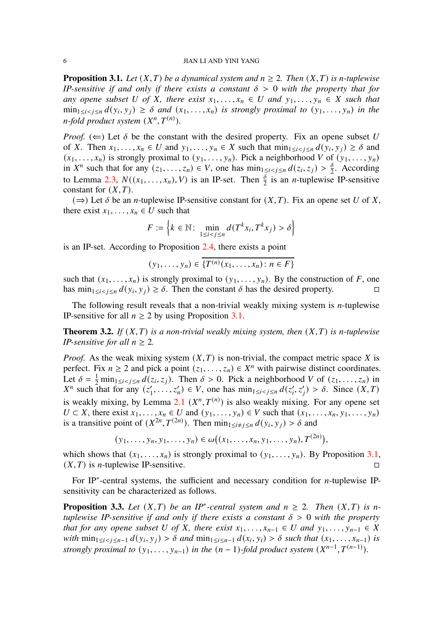<span id="page-5-1"></span>**Proposition 3.1.** *Let*  $(X, T)$  *be a dynamical system and*  $n \ge 2$ *. Then*  $(X, T)$  *is n-tuplewise IP-sensitive if and only if there exists a constant*  $\delta > 0$  *with the property that for any opene subset* U of X, there exist  $x_1, \ldots, x_n \in U$  and  $y_1, \ldots, y_n \in X$  such that  $\min_{1 \le i < j \le n} d(y_i, y_j) \ge \delta$  and  $(x_1, \ldots, x_n)$  is strongly proximal to  $(y_1, \ldots, y_n)$  in the  $n$ -fold product system  $(X^n, T^{(n)})$ .

*Proof.* ( $\Leftarrow$ ) Let  $\delta$  be the constant with the desired property. Fix an opene subset U of X. Then  $x_1, \ldots, x_n \in U$  and  $y_1, \ldots, y_n \in X$  such that  $\min_{1 \le i < j \le n} d(y_i, y_j) \ge \delta$  and  $(x_1, \ldots, x_n)$  is strongly proximal to  $(y_1, \ldots, y_n)$ . Pick a neighborhood V of  $(y_1, \ldots, y_n)$ in  $X^n$  such that for any  $(z_1, \ldots, z_n) \in V$ , one has  $\min_{1 \le i < j \le n} d(z_i, z_j) > \frac{\delta}{2}$  $\frac{0}{2}$ . According to Lemma [2.3,](#page-3-1)  $N((x_1, \ldots, x_n), V)$  is an IP-set. Then  $\frac{\delta}{2}$  is an *n*-tuplewise IP-sensitive constant for  $(X, T)$ .

 $(\Rightarrow)$  Let  $\delta$  be an *n*-tuplewise IP-sensitive constant for  $(X, T)$ . Fix an opene set U of X, there exist  $x_1, \ldots, x_n \in U$  such that

$$
F := \left\{ k \in \mathbb{N} \colon \min_{1 \le i < j \le n} d(T^k x_i, T^k x_j) > \delta \right\}
$$

is an IP-set. According to Proposition [2.4,](#page-3-2) there exists a point

$$
(y_1,\ldots,y_n)\in\overline{\{T^{(n)}(x_1,\ldots,x_n)\colon n\in F\}}
$$

such that  $(x_1, \ldots, x_n)$  is strongly proximal to  $(y_1, \ldots, y_n)$ . By the construction of F, one has  $\min_{1 \le i < j \le n} d(y_i, y_j) \ge \delta$ . Then the constant  $\delta$  has the desired property.

The following result reveals that a non-trivial weakly mixing system is  $n$ -tuplewise IP-sensitive for all  $n \geq 2$  by using Proposition [3.1.](#page-5-1)

<span id="page-5-0"></span>**Theorem 3.2.** *If*  $(X, T)$  *is a non-trivial weakly mixing system, then*  $(X, T)$  *is n-tuplewise IP-sensitive for all*  $n \geq 2$ *.* 

*Proof.* As the weak mixing system  $(X, T)$  is non-trivial, the compact metric space X is perfect. Fix  $n \ge 2$  and pick a point  $(z_1, \ldots, z_n) \in X^n$  with pairwise distinct coordinates. Let  $\delta = \frac{1}{2} \min_{1 \le i < j \le n} d(z_i, z_j)$ . Then  $\delta > 0$ . Pick a neighborhood V of  $(z_1, \ldots, z_n)$  in  $X^n$  such that for any  $(z_1)$  $\zeta'_1, \ldots, \zeta'_n) \in V$ , one has  $\min_{1 \le i < j \le n} d(z'_i, z'_j) > \delta$ . Since  $(X, T)$ is weakly mixing, by Lemma [2.1](#page-3-3)  $(X^n, T^{(n)})$  is also weakly mixing. For any opene set  $U \subset X$ , there exist  $x_1, \ldots, x_n \in U$  and  $(y_1, \ldots, y_n) \in V$  such that  $(x_1, \ldots, x_n, y_1, \ldots, y_n)$ is a transitive point of  $(X^{2n}, T^{(2n)})$ . Then  $\min_{1 \le i \ne j \le n} d(y_i, y_j) > \delta$  and

$$
(y_1, \ldots, y_n, y_1, \ldots, y_n) \in \omega((x_1, \ldots, x_n, y_1, \ldots, y_n), T^{(2n)}),
$$

which shows that  $(x_1, \ldots, x_n)$  is strongly proximal to  $(y_1, \ldots, y_n)$ . By Proposition [3.1,](#page-5-1)  $(X, T)$  is *n*-tuplewise IP-sensitive.

For IP $*$ -central systems, the sufficient and necessary condition for *n*-tuplewise IPsensitivity can be characterized as follows.

<span id="page-5-2"></span>**Proposition 3.3.** Let  $(X, T)$  be an IP<sup>\*</sup>-central system and  $n \ge 2$ . Then  $(X, T)$  is n*tuplewise IP-sensitive if and only if there exists a constant*  $\delta > 0$  *with the property that for any opene subset*  $U$  *of*  $X$ *, there exist*  $x_1, \ldots, x_{n-1} \in U$  *and*  $y_1, \ldots, y_{n-1} \in X$  $with \min_{1 \le i < j \le n-1} d(y_i, y_j) > \delta \text{ and } min_{1 \le i \le n-1} d(x_i, y_i) > \delta \text{ such that } (x_1, ..., x_{n-1}) \text{ is }$ *strongly proximal to*  $(y_1, \ldots, y_{n-1})$  *in the*  $(n-1)$ -fold product system  $(X^{n-1}, T^{(n-1)})$ .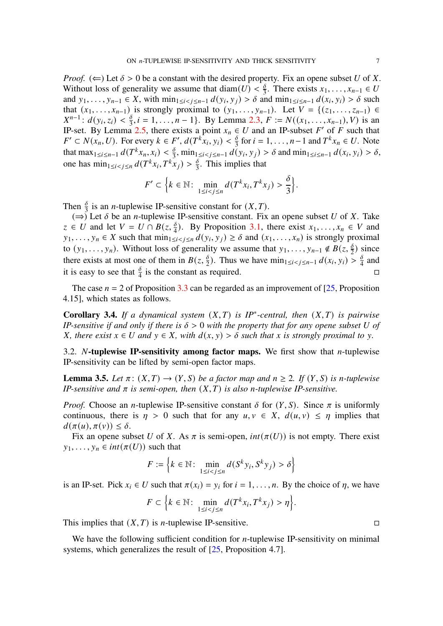*Proof.* ( $\Leftarrow$ ) Let  $\delta > 0$  be a constant with the desired property. Fix an opene subset U of X. Without loss of generality we assume that diam(U)  $<\frac{\delta}{3}$  $\frac{\delta}{3}$ . There exists  $x_1, \ldots, x_{n-1} \in U$ and  $y_1, \ldots, y_{n-1} \in X$ , with  $\min_{1 \le i \le j \le n-1} d(y_i, y_j) > \delta$  and  $\min_{1 \le i \le n-1} d(x_i, y_i) > \delta$  such that  $(x_1, ..., x_{n-1})$  is strongly proximal to  $(y_1, ..., y_{n-1})$ . Let  $V = \{(z_1, ..., z_{n-1}) \in$  $X^{n-1}$ :  $d(y_i, z_i) < \frac{\delta}{3}$  $\frac{\delta}{3}$ ,  $i = 1, ..., n - 1$ . By Lemma [2.3,](#page-3-1)  $F := N((x_1, ..., x_{n-1}), V)$  is an IP-set. By Lemma [2.5,](#page-3-4) there exists a point  $x_n \in U$  and an IP-subset F' of F such that  $F' \subset N(x_n, U)$ . For every  $k \in F'$ ,  $d(T^{k}x_i, y_i) < \frac{\delta}{3}$  $\frac{\delta}{3}$  for  $i = 1, ..., n-1$  and  $T^k x_n \in U$ . Note that max<sub>1≤i≤n-1</sub>  $d(T^k x_n, x_i) < \frac{\delta}{3}$  $\frac{\delta}{3}$ , min<sub>1≤i<j≤n-1</sub>  $d(y_i, y_j) > \delta$  and min<sub>1≤i≤n-1</sub>  $d(x_i, y_i) > \delta$ , one has  $\min_{1 \le i < j \le n} d(T^k x_i, T^k x_j) > \frac{\delta}{3}$  $\frac{0}{3}$ . This implies that

$$
F' \subset \Big\{k \in \mathbb{N} \colon \min_{1 \le i < j \le n} d(T^k x_i, T^k x_j) > \frac{\delta}{3} \Big\}.
$$

Then  $\frac{\delta}{3}$  is an *n*-tuplewise IP-sensitive constant for  $(X, T)$ .

 $(\Rightarrow)$  Let  $\delta$  be an *n*-tuplewise IP-sensitive constant. Fix an opene subset U of X. Take  $z \in U$  and let  $V = U \cap B(z, \frac{\delta}{4})$ . By Proposition [3.1,](#page-5-1) there exist  $x_1, \ldots, x_n \in V$  and  $y_1, \ldots, y_n \in X$  such that  $\min_{1 \le i < j \le n} d(y_i, y_j) \ge \delta$  and  $(x_1, \ldots, x_n)$  is strongly proximal to  $(y_1, \ldots, y_n)$ . Without loss of generality we assume that  $y_1, \ldots, y_{n-1} \notin B(z, \frac{\delta}{2})$  since there exists at most one of them in  $B(z, \frac{\delta}{2})$ . Thus we have  $\min_{1 \le i < j \le n-1} d(x_i, y_i) > \frac{\delta}{4}$  $rac{0}{4}$  and it is easy to see that  $\frac{\delta}{4}$  is the constant as required.

The case  $n = 2$  of Proposition [3.3](#page-5-2) can be regarded as an improvement of [\[25,](#page-18-4) Proposition 4.15], which states as follows.

**Corollary 3.4.** *If a dynamical system*  $(X, T)$  *is IP<sup>\*</sup>-central, then*  $(X, T)$  *is pairwise IP-sensitive if and only if there is*  $\delta > 0$  *with the property that for any opene subset* U of *X*, there exist  $x \in U$  and  $y \in X$ , with  $d(x, y) > \delta$  such that x is strongly proximal to y.

3.2. N**-tuplewise IP-sensitivity among factor maps.** We first show that *n*-tuplewise IP-sensitivity can be lifted by semi-open factor maps.

<span id="page-6-0"></span>**Lemma 3.5.** *Let*  $\pi$ :  $(X, T) \rightarrow (Y, S)$  *be a factor map and*  $n \ge 2$ *. If*  $(Y, S)$  *is n-tuplewise IP-sensitive and*  $\pi$  *is semi-open, then*  $(X, T)$  *is also n-tuplewise IP-sensitive.* 

*Proof.* Choose an *n*-tuplewise IP-sensitive constant  $\delta$  for  $(Y, S)$ . Since  $\pi$  is uniformly continuous, there is  $\eta > 0$  such that for any  $u, v \in X$ ,  $d(u, v) \leq \eta$  implies that  $d(\pi(u), \pi(v)) \leq \delta.$ 

Fix an opene subset U of X. As  $\pi$  is semi-open,  $int(\pi(U))$  is not empty. There exist  $y_1, \ldots, y_n \in int(\pi(U))$  such that

$$
F := \left\{ k \in \mathbb{N} : \min_{1 \le i < j \le n} d(S^k y_i, S^k y_j) > \delta \right\}
$$

is an IP-set. Pick  $x_i \in U$  such that  $\pi(x_i) = y_i$  for  $i = 1, \ldots, n$ . By the choice of  $\eta$ , we have

$$
F \subset \left\{ k \in \mathbb{N} \colon \min_{1 \le i < j \le n} d(T^k x_i, T^k x_j) > \eta \right\}.
$$

This implies that  $(X, T)$  is *n*-tuplewise IP-sensitive.

We have the following sufficient condition for  $n$ -tuplewise IP-sensitivity on minimal systems, which generalizes the result of  $[25,$  Proposition 4.7].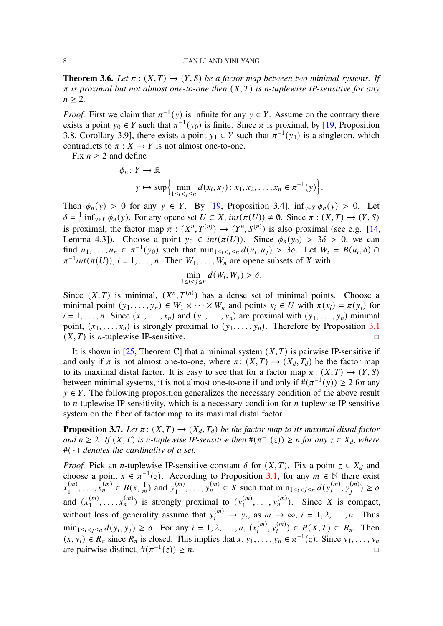<span id="page-7-0"></span>**Theorem 3.6.** *Let*  $\pi$  :  $(X, T) \rightarrow (Y, S)$  *be a factor map between two minimal systems. If*  $\pi$  *is proximal but not almost one-to-one then*  $(X, T)$  *is n-tuplewise IP-sensitive for any*  $n \geq 2$ .

*Proof.* First we claim that  $\pi^{-1}(y)$  is infinite for any  $y \in Y$ . Assume on the contrary there exists a point  $y_0 \in Y$  such that  $\pi^{-1}(y_0)$  is finite. Since  $\pi$  is proximal, by [\[19,](#page-18-1) Proposition 3.8, Corollary 3.9], there exists a point  $y_1 \in Y$  such that  $\pi^{-1}(y_1)$  is a singleton, which contradicts to  $\pi : X \to Y$  is not almost one-to-one.

Fix  $n \geq 2$  and define

$$
\phi_n: Y \to \mathbb{R}
$$
  
 
$$
y \mapsto \sup \left\{ \min_{1 \le i < j \le n} d(x_i, x_j) : x_1, x_2, \dots, x_n \in \pi^{-1}(y) \right\}
$$

.

Then  $\phi_n(y) > 0$  for any  $y \in Y$ . By [\[19,](#page-18-1) Proposition 3.4],  $\inf_{y \in Y} \phi_n(y) > 0$ . Let  $\delta = \frac{1}{4}$  $\frac{1}{4}$  inf<sub>y∈Y</sub>  $\phi_n(y)$ . For any opene set  $U \subset X$ , int( $\pi(U)$ )  $\neq \emptyset$ . Since  $\pi : (X,T) \to (Y,S)$ is proximal, the factor map  $\pi : (X^n, T^{(n)}) \to (Y^n, S^{(n)})$  is also proximal (see e.g. [\[14,](#page-17-5) Lemma 4.3]). Choose a point  $y_0 \in int(\pi(U))$ . Since  $\phi_n(y_0) > 3\delta > 0$ , we can find  $u_1, \ldots, u_n \in \pi^{-1}(y_0)$  such that  $\min_{1 \le i < j \le n} d(u_i, u_j) > 3\delta$ . Let  $W_i = B(u_i, \delta) \cap$  $\pi^{-1}$ int $(\pi(U))$ ,  $i = 1, ..., n$ . Then  $W_1, ..., W_n$  are opene subsets of X with

$$
\min_{1 \le i < j \le n} d(W_i, W_j) > \delta.
$$

Since  $(X, T)$  is minimal,  $(X^n, T^{(n)})$  has a dense set of minimal points. Choose a minimal point  $(y_1, \ldots, y_n) \in W_1 \times \cdots \times W_n$  and points  $x_i \in U$  with  $\pi(x_i) = \pi(y_i)$  for  $i = 1, \ldots, n$ . Since  $(x_1, \ldots, x_n)$  and  $(y_1, \ldots, y_n)$  are proximal with  $(y_1, \ldots, y_n)$  minimal point,  $(x_1, \ldots, x_n)$  is strongly proximal to  $(y_1, \ldots, y_n)$ . Therefore by Proposition [3.1](#page-5-1)  $(X, T)$  is *n*-tuplewise IP-sensitive.

It is shown in [\[25,](#page-18-4) Theorem C] that a minimal system  $(X, T)$  is pairwise IP-sensitive if and only if  $\pi$  is not almost one-to-one, where  $\pi$ :  $(X, T) \rightarrow (X_d, T_d)$  be the factor map to its maximal distal factor. It is easy to see that for a factor map  $\pi: (X,T) \to (Y,S)$ between minimal systems, it is not almost one-to-one if and only if  $\#(\pi^{-1}(y)) \ge 2$  for any  $y \in Y$ . The following proposition generalizes the necessary condition of the above result to  $n$ -tuplewise IP-sensitivity, which is a necessary condition for  $n$ -tuplewise IP-sensitive system on the fiber of factor map to its maximal distal factor.

<span id="page-7-1"></span>**Proposition 3.7.** *Let*  $\pi$ :  $(X, T) \rightarrow (X_d, T_d)$  *be the factor map to its maximal distal factor and*  $n \ge 2$ . If  $(X, T)$  *is n*-tuplewise IP-sensitive then  $\#(\pi^{-1}(z)) \ge n$  for any  $z \in X_d$ , where #( · ) *denotes the cardinality of a set.*

*Proof.* Pick an *n*-tuplewise IP-sensitive constant  $\delta$  for  $(X, T)$ . Fix a point  $z \in X_d$  and choose a point  $x \in \pi^{-1}(z)$ . According to Proposition [3.1,](#page-5-1) for any  $m \in \mathbb{N}$  there exist  $x_1^{(m)}$  $\binom{m}{1}, \ldots, \binom{n}{n} \in B(x, \frac{1}{m})$  and  $y_1^{(m)}$  $\sum_{i=1}^{m} y_i^{(m)} \in X$  such that  $\min_{1 \le i < j \le n} d(y_i^{(m)})$  $\binom{m}{i}, y_i^{(m)}$  $\binom{m}{i}$   $\geq \delta$ and  $(x_1^{(m)}$  $\binom{m}{1}, \ldots, x_n^{(m)}$  is strongly proximal to  $\left(y_1^{(m)}\right)$  $\binom{m}{1}, \ldots, \binom{m}{n}$ . Since X is compact, without loss of generality assume that  $y_i^{(m)} \to y_i$ , as  $m \to \infty$ ,  $i = 1, 2, ..., n$ . Thus  $\min_{1 \le i < j \le n} d(y_i, y_j) \ge \delta$ . For any  $i = 1, 2, ..., n$ ,  $(x_i^{(m)})$  $\binom{m}{i}, \, \binom{m}{i}$  $\binom{(m)}{i}$   $\in$   $P(X,T)$   $\subset$   $R_{\pi}$ . Then  $(x, y_i) \in R_\pi$  since  $R_\pi$  is closed. This implies that  $x, y_1, \ldots, y_n \in \pi^{-1}(z)$ . Since  $y_1, \ldots, y_n$ are pairwise distinct,  $\#(\pi^{-1}(z)) \geq n$ . □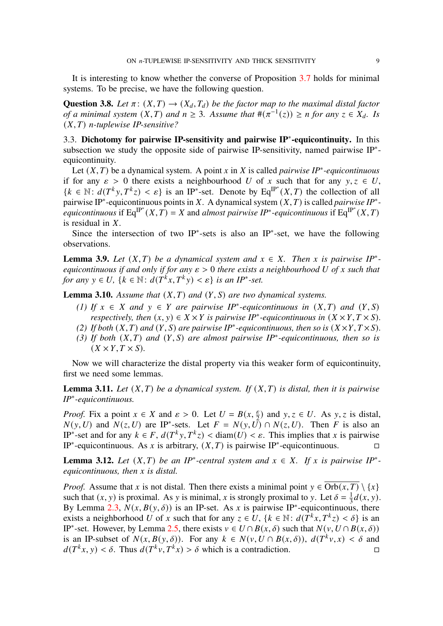It is interesting to know whether the converse of Proposition [3.7](#page-7-1) holds for minimal systems. To be precise, we have the following question.

**Question 3.8.** *Let*  $\pi$  :  $(X,T) \rightarrow (X_d, T_d)$  *be the factor map to the maximal distal factor of a minimal system*  $(X, T)$  *and*  $n \geq 3$ *. Assume that*  $\#(\pi^{-1}(z)) \geq n$  *for any*  $z \in X_d$ *. Is*  $(X, T)$  *n*-tuplewise IP-sensitive?

3.3. **Dichotomy for pairwise IP-sensitivity and pairwise IP**<sup>∗</sup> **-equicontinuity.** In this subsection we study the opposite side of pairwise IP-sensitivity, named pairwise IP<sup>∗</sup> equicontinuity.

Let  $(X, T)$  be a dynamical system. A point x in X is called *pairwise IP<sup>\*</sup>-equicontinuous* if for any  $\varepsilon > 0$  there exists a neighbourhood U of x such that for any  $y, z \in U$ ,  ${k \in \mathbb{N} : d(T^k y, T^k z) < \varepsilon}$  is an IP<sup>\*</sup>-set. Denote by Eq<sup>IP\*</sup>(*X,T*) the collection of all pairwise IP<sup>\*</sup>-equicontinuous points in X. A dynamical system  $(X, T)$  is called *pairwise IP*<sup>\*</sup>*equicontinuous* if  $Eq^{IP^*}(X, T) = X$  and *almost pairwise IP<sup>∗</sup>-equicontinuous* if  $Eq^{IP^*}(X, T)$ is residual in  $X$ .

Since the intersection of two IP<sup>∗</sup>-sets is also an IP<sup>∗</sup>-set, we have the following observations.

**Lemma 3.9.** *Let*  $(X, T)$  *be a dynamical system and*  $x \in X$ *. Then* x *is pairwise IP*<sup>\*</sup>*equicontinuous if and only if for any*  $\varepsilon > 0$  *there exists a neighbourhood* U of x such that *for any*  $y \in U$ ,  $\{k \in \mathbb{N} : d(T^k x, T^k y) < \varepsilon\}$  *is an IP<sup>\*</sup>-set.* 

**Lemma 3.10.** *Assume that*  $(X, T)$  *and*  $(Y, S)$  *are two dynamical systems.* 

- *(1) If*  $x \in X$  *and*  $y \in Y$  *are pairwise IP*<sup>\*</sup>-equicontinuous *in*  $(X, T)$  *and*  $(Y, S)$ *respectively, then*  $(x, y) \in X \times Y$  *is pairwise IP<sup>\*</sup>-equicontinuous in*  $(X \times Y, T \times S)$ *.*
- *(2) If both*  $(X, T)$  *and*  $(Y, S)$  *are pairwise IP<sup>\*</sup>-equicontinuous, then so is*  $(X \times Y, T \times S)$ *.*
- (3) If both  $(X, T)$  and  $(Y, S)$  are almost pairwise IP<sup>\*</sup>-equicontinuous, then so is  $(X \times Y, T \times S)$ .

Now we will characterize the distal property via this weaker form of equicontinuity, first we need some lemmas.

<span id="page-8-0"></span>**Lemma 3.11.** Let  $(X, T)$  be a dynamical system. If  $(X, T)$  is distal, then it is pairwise *IP*<sup>∗</sup> *-equicontinuous.*

*Proof.* Fix a point  $x \in X$  and  $\varepsilon > 0$ . Let  $U = B(x, \frac{\varepsilon}{2})$  and  $y, z \in U$ . As y, z is distal,  $N(y, U)$  and  $N(z, U)$  are IP<sup>\*</sup>-sets. Let  $F = N(y, U) \cap N(z, U)$ . Then F is also an IP<sup>\*</sup>-set and for any  $k \in F$ ,  $d(T^k y, T^k z) <$  diam $(U) < \varepsilon$ . This implies that x is pairwise IP<sup>\*</sup>-equicontinuous. As x is arbitrary,  $(X, T)$  is pairwise IP<sup>\*</sup>-equicontinuous.

**Lemma 3.12.** *Let*  $(X, T)$  *be an IP*<sup>\*</sup>-central system and  $x \in X$ . If x is pairwise IP<sup>\*</sup>*equicontinuous, then is distal.*

*Proof.* Assume that x is not distal. Then there exists a minimal point  $y \in \overline{Orb(x,T)} \setminus \{x\}$ such that  $(x, y)$  is proximal. As y is minimal, x is strongly proximal to y. Let  $\delta = \frac{1}{3}$  $\frac{1}{3}d(x, y)$ . By Lemma [2.3,](#page-3-1)  $N(x, B(y, \delta))$  is an IP-set. As x is pairwise IP<sup>\*</sup>-equicontinuous, there exists a neighborhood U of x such that for any  $z \in U$ ,  $\{k \in \mathbb{N} : d(T^k x, T^k z) < \delta\}$  is an IP<sup>\*</sup>-set. However, by Lemma [2.5,](#page-3-4) there exists  $v \in U \cap B(x, \delta)$  such that  $N(v, U \cap B(x, \delta))$ is an IP-subset of  $N(x, B(y, \delta))$ . For any  $k \in N(y, U \cap B(x, \delta))$ ,  $d(T^k v, x) < \delta$  and  $d(T^k x, y) < \delta$ . Thus  $d(T^k y, T^k x) > \delta$  which is a contradiction.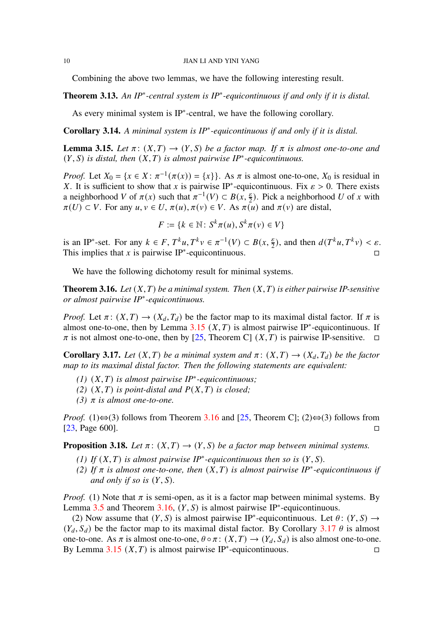Combining the above two lemmas, we have the following interesting result.

**Theorem 3.13.** *An IP*<sup>∗</sup> *-central system is IP*<sup>∗</sup> *-equicontinuous if and only if it is distal.*

As every minimal system is IP<sup>∗</sup> -central, we have the following corollary.

<span id="page-9-1"></span>**Corollary 3.14.** *A minimal system is IP*<sup>∗</sup> *-equicontinuous if and only if it is distal.*

<span id="page-9-2"></span>**Lemma 3.15.** Let  $\pi$ :  $(X,T) \rightarrow (Y,S)$  be a factor map. If  $\pi$  is almost one-to-one and  $(Y, S)$  *is distal, then*  $(X, T)$  *is almost pairwise IP<sup>\*</sup>-equicontinuous.* 

*Proof.* Let  $X_0 = \{x \in X : \pi^{-1}(\pi(x)) = \{x\}\}\)$ . As  $\pi$  is almost one-to-one,  $X_0$  is residual in X. It is sufficient to show that x is pairwise IP<sup>\*</sup>-equicontinuous. Fix  $\varepsilon > 0$ . There exists a neighborhood V of  $\pi(x)$  such that  $\pi^{-1}(V) \subset B(x, \frac{\varepsilon}{2})$ . Pick a neighborhood U of x with  $\pi(U) \subset V$ . For any  $u, v \in U$ ,  $\pi(u), \pi(v) \in V$ . As  $\pi(u)$  and  $\pi(v)$  are distal,

$$
F := \{ k \in \mathbb{N} \colon S^k \pi(u), S^k \pi(v) \in V \}
$$

is an IP<sup>\*</sup>-set. For any  $k \in F$ ,  $T^k u$ ,  $T^k v \in \pi^{-1}(V) \subset B(x, \frac{\varepsilon}{2})$ , and then  $d(T^k u, T^k v) < \varepsilon$ . This implies that x is pairwise IP<sup>\*</sup>-equicontinuous.

We have the following dichotomy result for minimal systems.

<span id="page-9-0"></span>**Theorem 3.16.** Let  $(X, T)$  be a minimal system. Then  $(X, T)$  is either pairwise IP-sensitive *or almost pairwise IP*<sup>∗</sup> *-equicontinuous.*

*Proof.* Let  $\pi$ :  $(X, T) \rightarrow (X_d, T_d)$  be the factor map to its maximal distal factor. If  $\pi$  is almost one-to-one, then by Lemma [3.15](#page-9-2)  $(X, T)$  is almost pairwise IP<sup>\*</sup>-equicontinuous. If  $\pi$  is not almost one-to-one, then by [\[25,](#page-18-4) Theorem C]  $(X, T)$  is pairwise IP-sensitive.  $\Box$ 

<span id="page-9-3"></span>**Corollary 3.17.** *Let*  $(X, T)$  *be a minimal system and*  $\pi$ :  $(X, T) \rightarrow (X_d, T_d)$  *be the factor map to its maximal distal factor. Then the following statements are equivalent:*

- $(1)$   $(X, T)$  *is almost pairwise IP<sup>\*</sup>-equicontinuous*;
- $(2)$   $(X, T)$  *is point-distal and*  $P(X, T)$  *is closed;*

*(3)*  $\pi$  *is almost one-to-one.* 

*Proof.* (1)⇔(3) follows from Theorem [3.16](#page-9-0) and [\[25,](#page-18-4) Theorem C]; (2)⇔(3) follows from [\[23,](#page-18-9) Page 600].

<span id="page-9-4"></span>**Proposition 3.18.** *Let*  $\pi$  :  $(X,T) \rightarrow (Y,S)$  *be a factor map between minimal systems.* 

- *(1)* If  $(X, T)$  is almost pairwise IP<sup>\*</sup>-equicontinuous then so is  $(Y, S)$ .
- *(2)* If  $\pi$  is almost one-to-one, then  $(X, T)$  is almost pairwise IP<sup>\*</sup>-equicontinuous if *and only if so is*  $(Y, S)$ *.*

*Proof.* (1) Note that  $\pi$  is semi-open, as it is a factor map between minimal systems. By Lemma [3.5](#page-6-0) and Theorem [3.16,](#page-9-0)  $(Y, S)$  is almost pairwise IP<sup>\*</sup>-equicontinuous.

(2) Now assume that  $(Y, S)$  is almost pairwise IP<sup>\*</sup>-equicontinuous. Let  $\theta$ :  $(Y, S) \rightarrow$  $(Y_d, S_d)$  be the factor map to its maximal distal factor. By Corollary [3.17](#page-9-3)  $\theta$  is almost one-to-one. As  $\pi$  is almost one-to-one,  $\theta \circ \pi : (X,T) \to (Y_d, S_d)$  is also almost one-to-one. By Lemma [3.15](#page-9-2)  $(X, T)$  is almost pairwise IP<sup>\*</sup>-equicontinuous.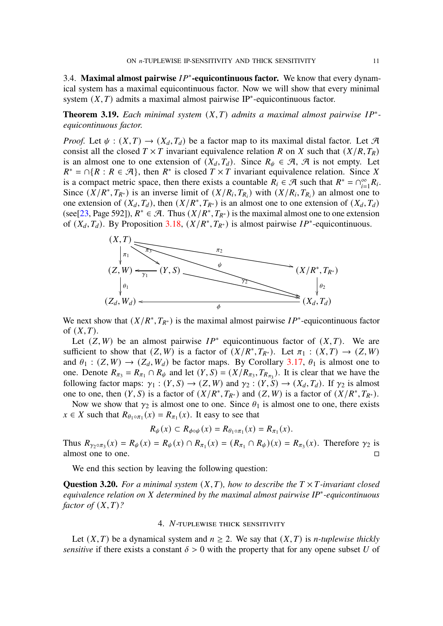3.4. Maximal almost pairwise  $IP^*$ -equicontinuous factor. We know that every dynamical system has a maximal equicontinuous factor. Now we will show that every minimal system  $(X, T)$  admits a maximal almost pairwise IP<sup>\*</sup>-equicontinuous factor.

<span id="page-10-0"></span>**Theorem 3.19.** Each minimal system  $(X, T)$  admits a maximal almost pairwise  $IP^*$ *equicontinuous factor.*

*Proof.* Let  $\psi : (X,T) \to (X_d, T_d)$  be a factor map to its maximal distal factor. Let A consist all the closed  $T \times T$  invariant equivalence relation R on X such that  $(X/R, T_R)$ is an almost one to one extension of  $(X_d, T_d)$ . Since  $R_{\psi} \in \mathcal{A}, \mathcal{A}$  is not empty. Let  $R^* = \bigcap \{ R : R \in \mathcal{A} \}$ , then  $R^*$  is closed  $T \times T$  invariant equivalence relation. Since X is a compact metric space, then there exists a countable  $R_i \in \mathcal{A}$  such that  $R^* = \bigcap_{i=1}^{\infty} R_i$ . Since  $(X/R^*, T_{R^*})$  is an inverse limit of  $(X/R_i, T_{R_i})$  with  $(X/R_i, T_{R_i})$  an almost one to one extension of  $(X_d, T_d)$ , then  $(X/R^*, T_{R^*})$  is an almost one to one extension of  $(X_d, T_d)$ (see[\[23,](#page-18-9) Page 592]),  $R^* \in \mathcal{A}$ . Thus  $(X/R^*, T_{R^*})$  is the maximal almost one to one extension of  $(X_d, T_d)$ . By Proposition [3.18,](#page-9-4)  $(X/R^*, T_{R^*})$  is almost pairwise  $IP^*$ -equicontinuous.



We next show that  $(X/R^*, T_{R^*})$  is the maximal almost pairwise  $IP^*$ -equicontinuous factor of  $(X, T)$ .

Let  $(Z, W)$  be an almost pairwise  $IP^*$  equicontinuous factor of  $(X, T)$ . We are sufficient to show that  $(Z, W)$  is a factor of  $(X/R^*, T_{R^*})$ . Let  $\pi_1 : (X, T) \to (Z, W)$ and  $\theta_1 : (Z, W) \to (Z_d, W_d)$  be factor maps. By Corollary [3.17,](#page-9-3)  $\theta_1$  is almost one to one. Denote  $R_{\pi_3} = R_{\pi_1} \cap R_{\psi}$  and let  $(Y, S) = (X/R_{\pi_3}, T_{R_{\pi_3}})$ . It is clear that we have the following factor maps:  $\gamma_1 : (Y, S) \to (Z, W)$  and  $\gamma_2 : (Y, S) \to (X_d, T_d)$ . If  $\gamma_2$  is almost one to one, then  $(Y, S)$  is a factor of  $(X/R^*, T_{R^*})$  and  $(Z, W)$  is a factor of  $(X/R^*, T_{R^*})$ .

Now we show that  $\gamma_2$  is almost one to one. Since  $\theta_1$  is almost one to one, there exists  $x \in X$  such that  $R_{\theta_1 \circ \pi_1}(x) = R_{\pi_1}(x)$ . It easy to see that

$$
R_{\psi}(x) \subset R_{\phi \circ \psi}(x) = R_{\theta_1 \circ \pi_1}(x) = R_{\pi_1}(x).
$$

Thus  $R_{\gamma_2 \circ \pi_3}(x) = R_{\psi}(x) = R_{\psi}(x) \cap R_{\pi_1}(x) = (R_{\pi_1} \cap R_{\psi})(x) = R_{\pi_3}(x)$ . Therefore  $\gamma_2$  is almost one to one.

We end this section by leaving the following question:

**Question 3.20.** For a minimal system  $(X, T)$ , how to describe the  $T \times T$ -invariant closed *equivalence relation on determined by the maximal almost pairwise IP*<sup>∗</sup> *-equicontinuous factor of*  $(X, T)$ ?

## 4. N-TUPLEWISE THICK SENSITIVITY

Let  $(X, T)$  be a dynamical system and  $n \ge 2$ . We say that  $(X, T)$  is *n*-tuplewise thickly *sensitive* if there exists a constant  $\delta > 0$  with the property that for any opene subset U of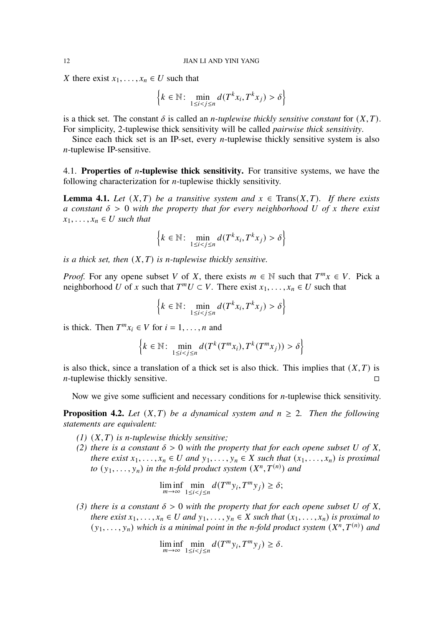X there exist  $x_1, \ldots, x_n \in U$  such that

$$
\left\{k \in \mathbb{N}: \min_{1 \le i < j \le n} d(T^k x_i, T^k x_j) > \delta\right\}
$$

is a thick set. The constant  $\delta$  is called an *n*-tuplewise thickly sensitive constant for  $(X, T)$ . For simplicity, 2-tuplewise thick sensitivity will be called *pairwise thick sensitivity*.

Since each thick set is an IP-set, every *n*-tuplewise thickly sensitive system is also  $n$ -tuplewise IP-sensitive.

4.1. **Properties of** *n***-tuplewise thick sensitivity.** For transitive systems, we have the following characterization for  $n$ -tuplewise thickly sensitivity.

<span id="page-11-1"></span>**Lemma 4.1.** *Let*  $(X, T)$  *be a transitive system and*  $x \in Trans(X, T)$ *. If there exists a* constant  $\delta > 0$  with the property that for every neighborhood U of x there exist  $x_1, \ldots, x_n \in U$  such that

$$
\left\{k \in \mathbb{N}: \min_{1 \le i < j \le n} d(T^k x_i, T^k x_j) > \delta\right\}
$$

*is a thick set, then*  $(X, T)$  *is n-tuplewise thickly sensitive.* 

*Proof.* For any opene subset V of X, there exists  $m \in \mathbb{N}$  such that  $T^m x \in V$ . Pick a neighborhood U of x such that  $T^mU \subset V$ . There exist  $x_1, \ldots, x_n \in U$  such that

$$
\left\{k \in \mathbb{N}: \min_{1 \le i < j \le n} d(T^k x_i, T^k x_j) > \delta\right\}
$$

is thick. Then  $T^m x_i \in V$  for  $i = 1, ..., n$  and

$$
\left\{k \in \mathbb{N}: \min_{1 \le i < j \le n} d(T^k(T^m x_i), T^k(T^m x_j)) > \delta\right\}
$$

is also thick, since a translation of a thick set is also thick. This implies that  $(X, T)$  is  $n$ -tuplewise thickly sensitive.

Now we give some sufficient and necessary conditions for  $n$ -tuplewise thick sensitivity.

<span id="page-11-0"></span>**Proposition 4.2.** Let  $(X, T)$  be a dynamical system and  $n \ge 2$ . Then the following *statements are equivalent:*

- $(1)$   $(X, T)$  *is n-tuplewise thickly sensitive;*
- *(2)* there is a constant  $\delta > 0$  with the property that for each opene subset U of X, *there exist*  $x_1, \ldots, x_n \in U$  and  $y_1, \ldots, y_n \in X$  such that  $(x_1, \ldots, x_n)$  is proximal *to*  $(y_1, \ldots, y_n)$  *in the n-fold product system*  $(X^n, T^{(n)})$  *and*

$$
\liminf_{m \to \infty} \min_{1 \le i < j \le n} d(T^m y_i, T^m y_j) \ge \delta;
$$

*(3)* there is a constant  $\delta > 0$  with the property that for each opene subset U of X, *there exist*  $x_1, \ldots, x_n \in U$  and  $y_1, \ldots, y_n \in X$  such that  $(x_1, \ldots, x_n)$  is proximal to  $(y_1, \ldots, y_n)$  which is a minimal point in the *n*-fold product system  $(X^n, T^{(n)})$  and

$$
\liminf_{m \to \infty} \min_{1 \le i < j \le n} d(T^m y_i, T^m y_j) \ge \delta.
$$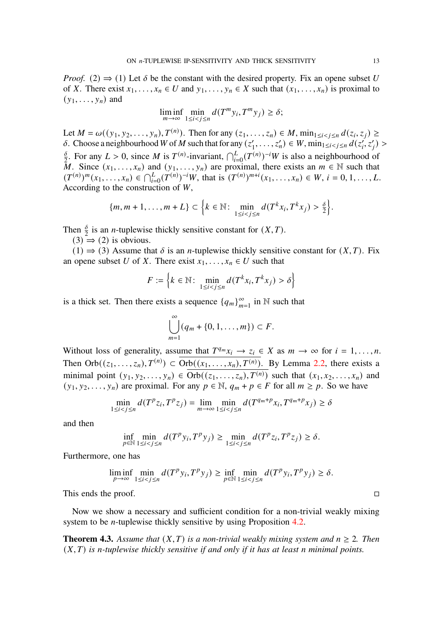*Proof.* (2)  $\Rightarrow$  (1) Let  $\delta$  be the constant with the desired property. Fix an opene subset U of X. There exist  $x_1, \ldots, x_n \in U$  and  $y_1, \ldots, y_n \in X$  such that  $(x_1, \ldots, x_n)$  is proximal to  $(y_1, \ldots, y_n)$  and

$$
\liminf_{m \to \infty} \min_{1 \le i < j \le n} d(T^m y_i, T^m y_j) \ge \delta;
$$

Let  $M = \omega((y_1, y_2, ..., y_n), T^{(n)})$ . Then for any  $(z_1, ..., z_n) \in M$ ,  $\min_{1 \le i < j \le n} d(z_i, z_j) \ge$  $\delta$ . Choose a neighbourhood W of M such that for any ( $z_1$ )  $(1, \ldots, z_n') \in W, \min_{1 \le i < j \le n} d(z_i', z_j')$  $\delta$  $\frac{\delta}{2}$ . For any  $L > 0$ , since M is  $T^{(n)}$ -invariant,  $\bigcap_{i=0}^{L}(T^{(n)})^{-i}W$  is also a neighbourhood of M. Since  $(x_1, \ldots, x_n)$  and  $(y_1, \ldots, y_n)$  are proximal, there exists an  $m \in \mathbb{N}$  such that  $(T^{(n)})^m(x_1, \ldots, x_n) \in \bigcap_{i=0}^L (T^{(n)})^{-i}W$ , that is  $(T^{(n)})^{m+i}(x_1, \ldots, x_n) \in W$ ,  $i = 0, 1, \ldots, L$ . According to the construction of  $W$ ,

$$
\{m,m+1,\ldots,m+L\}\subset\Big\{k\in\mathbb{N}\colon\min_{1\leq i\frac{\delta}{2}\big\}.<="">
$$

Then  $\frac{\delta}{2}$  is an *n*-tuplewise thickly sensitive constant for  $(X, T)$ .

 $(3) \Rightarrow (2)$  is obvious.

(1)  $\Rightarrow$  (3) Assume that  $\delta$  is an *n*-tuplewise thickly sensitive constant for  $(X, T)$ . Fix an opene subset U of X. There exist  $x_1, \ldots, x_n \in U$  such that

$$
F := \left\{ k \in \mathbb{N} : \min_{1 \le i < j \le n} d(T^k x_i, T^k x_j) > \delta \right\}
$$

is a thick set. Then there exists a sequence  ${q_m}_{m=1}^{\infty}$  in N such that

$$
\bigcup_{m=1}^{\infty} (q_m + \{0, 1, \ldots, m\}) \subset F.
$$

Without loss of generality, assume that  $T^{q_m}x_i \to z_i \in X$  as  $m \to \infty$  for  $i = 1, ..., n$ . Then Orb $((z_1, \ldots, z_n), T^{(n)}) \subset \overline{\text{Orb}((x_1, \ldots, x_n), T^{(n)})}$ . By Lemma [2.2,](#page-3-0) there exists a minimal point  $(y_1, y_2, \ldots, y_n) \in \overline{Orb((z_1, \ldots, z_n), T^{(n)})}$  such that  $(x_1, x_2, \ldots, x_n)$  and  $(y_1, y_2, \ldots, y_n)$  are proximal. For any  $p \in \mathbb{N}$ ,  $q_m + p \in F$  for all  $m \ge p$ . So we have

$$
\min_{1 \le i < j \le n} d(T^p z_i, T^p z_j) = \lim_{m \to \infty} \min_{1 \le i < j \le n} d(T^{q_m+p} x_i, T^{q_m+p} x_j) \ge \delta
$$

and then

$$
\inf_{p \in \mathbb{N}} \min_{1 \le i < j \le n} d(T^p y_i, T^p y_j) \ge \min_{1 \le i < j \le n} d(T^p z_i, T^p z_j) \ge \delta.
$$

Furthermore, one has

$$
\liminf_{p \to \infty} \min_{1 \le i < j \le n} d(T^p y_i, T^p y_j) \ge \inf_{p \in \mathbb{N}} \min_{1 \le i < j \le n} d(T^p y_i, T^p y_j) \ge \delta.
$$

This ends the proof.

Now we show a necessary and sufficient condition for a non-trivial weakly mixing system to be *n*-tuplewise thickly sensitive by using Proposition  $4.2$ .

<span id="page-12-0"></span>**Theorem 4.3.** Assume that  $(X, T)$  is a non-trivial weakly mixing system and  $n \geq 2$ . Then  $(X, T)$  *is n-tuplewise thickly sensitive if and only if it has at least n minimal points.*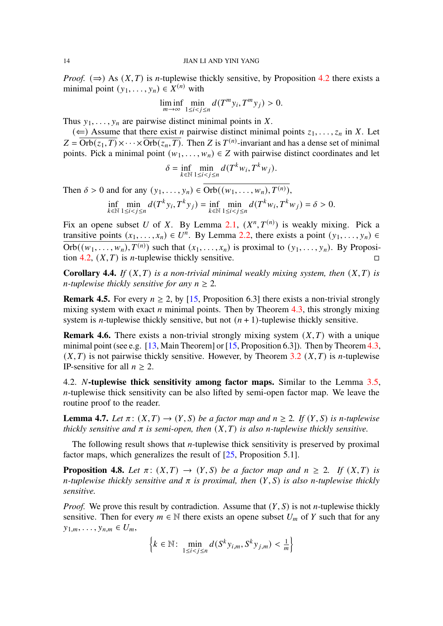*Proof.* ( $\Rightarrow$ ) As  $(X, T)$  is *n*-tuplewise thickly sensitive, by Proposition [4.2](#page-11-0) there exists a minimal point  $(y_1, \ldots, y_n) \in X^{(n)}$  with

$$
\liminf_{m \to \infty} \min_{1 \le i < j \le n} d(T^m y_i, T^m y_j) > 0.
$$

Thus  $y_1, \ldots, y_n$  are pairwise distinct minimal points in X.

( $\Leftarrow$ ) Assume that there exist *n* pairwise distinct minimal points  $z_1, \ldots, z_n$  in X. Let  $Z = \overline{\text{Orb}(z_1, T)} \times \cdots \times \overline{\text{Orb}(z_n, T)}$ . Then Z is  $T^{(n)}$ -invariant and has a dense set of minimal points. Pick a minimal point  $(w_1, \ldots, w_n) \in Z$  with pairwise distinct coordinates and let

$$
\delta = \inf_{k \in \mathbb{N}} \min_{1 \le i < j \le n} d(T^k w_i, T^k w_j).
$$

Then  $\delta > 0$  and for any  $(y_1, \ldots, y_n) \in \overline{\text{Orb}((w_1, \ldots, w_n), T^{(n)})},$ 

$$
\inf_{k \in \mathbb{N}} \min_{1 \le i < j \le n} d(T^k y_i, T^k y_j) = \inf_{k \in \mathbb{N}} \min_{1 \le i < j \le n} d(T^k w_i, T^k w_j) = \delta > 0.
$$

Fix an opene subset U of X. By Lemma [2.1,](#page-3-3)  $(X^n, T^{(n)})$  is weakly mixing. Pick a transitive points  $(x_1, \ldots, x_n) \in U^n$ . By Lemma [2.2,](#page-3-0) there exists a point  $(y_1, \ldots, y_n) \in$  $\overline{\text{Orb}((w_1, \ldots, w_n), T^{(n)})}$  such that  $(x_1, \ldots, x_n)$  is proximal to  $(y_1, \ldots, y_n)$ . By Proposi-tion [4.2,](#page-11-0)  $(X, T)$  is *n*-tuplewise thickly sensitive.

**Corollary 4.4.** *If*  $(X, T)$  *is a non-trivial minimal weakly mixing system, then*  $(X, T)$  *is n*-tuplewise thickly sensitive for any  $n \geq 2$ .

<span id="page-13-2"></span>**Remark 4.5.** For every  $n \ge 2$ , by [\[15,](#page-18-10) Proposition 6.3] there exists a non-trivial strongly mixing system with exact  $n$  minimal points. Then by Theorem [4.3,](#page-12-0) this strongly mixing system is *n*-tuplewise thickly sensitive, but not  $(n + 1)$ -tuplewise thickly sensitive.

<span id="page-13-3"></span>**Remark 4.6.** There exists a non-trivial strongly mixing system  $(X, T)$  with a unique minimal point (see e.g. [\[13,](#page-17-13) Main Theorem] or  $[15,$  Proposition 6.3]). Then by Theorem [4.3,](#page-12-0)  $(X, T)$  is not pairwise thickly sensitive. However, by Theorem [3.2](#page-5-0)  $(X, T)$  is *n*-tuplewise IP-sensitive for all  $n \geq 2$ .

4.2. *N*-tuplewise thick sensitivity among factor maps. Similar to the Lemma [3.5,](#page-6-0)  $n$ -tuplewise thick sensitivity can be also lifted by semi-open factor map. We leave the routine proof to the reader.

<span id="page-13-0"></span>**Lemma 4.7.** *Let*  $\pi$ :  $(X, T) \rightarrow (Y, S)$  *be a factor map and*  $n \ge 2$ *. If*  $(Y, S)$  *is n-tuplewise thickly sensitive and*  $\pi$  *is semi-open, then*  $(X, T)$  *is also n-tuplewise thickly sensitive.* 

The following result shows that  $n$ -tuplewise thick sensitivity is preserved by proximal factor maps, which generalizes the result of [\[25,](#page-18-4) Proposition 5.1].

<span id="page-13-1"></span>**Proposition 4.8.** *Let*  $\pi$ :  $(X, T) \rightarrow (Y, S)$  *be a factor map and*  $n \ge 2$ *. If*  $(X, T)$  *is n*-tuplewise thickly sensitive and  $\pi$  is proximal, then  $(Y, S)$  is also *n*-tuplewise thickly *sensitive.*

*Proof.* We prove this result by contradiction. Assume that  $(Y, S)$  is not *n*-tuplewise thickly sensitive. Then for every  $m \in \mathbb{N}$  there exists an opene subset  $U_m$  of Y such that for any  $y_{1,m}, \ldots, y_{n,m} \in U_m$ 

$$
\left\{k \in \mathbb{N}: \min_{1 \le i < j \le n} d(S^k y_{i,m}, S^k y_{j,m}) < \frac{1}{m}\right\}
$$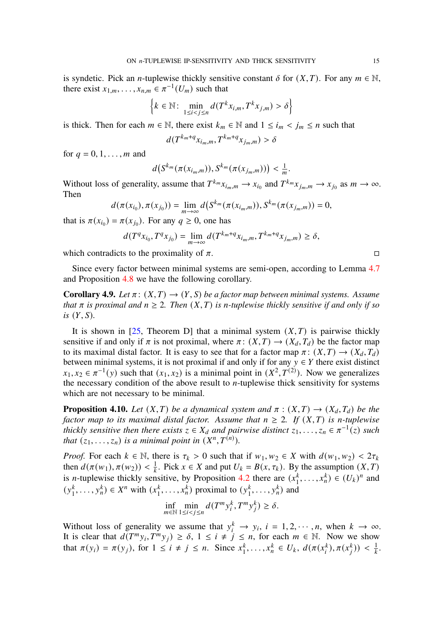is syndetic. Pick an *n*-tuplewise thickly sensitive constant  $\delta$  for  $(X, T)$ . For any  $m \in \mathbb{N}$ , there exist  $x_{1,m}, \ldots, x_{n,m} \in \pi^{-1}(U_m)$  such that

$$
\left\{k \in \mathbb{N}: \min_{1 \le i < j \le n} d(T^k x_{i,m}, T^k x_{j,m}) > \delta\right\}
$$

is thick. Then for each  $m \in \mathbb{N}$ , there exist  $k_m \in \mathbb{N}$  and  $1 \le i_m < j_m \le n$  such that

$$
d(T^{k_m+q}x_{i_m,m},T^{k_m+q}x_{j_m,m})>\delta
$$

for  $q = 0, 1, \ldots, m$  and

$$
d(S^{k_m}(\pi(x_{i_m,m})),S^{k_m}(\pi(x_{j_m,m}))<\frac{1}{m}.
$$

Without loss of generality, assume that  $T^{k_m}x_{i_m,m} \to x_{i_0}$  and  $T^{k_m}x_{j_m,m} \to x_{j_0}$  as  $m \to \infty$ . Then

$$
d(\pi(x_{i_0}), \pi(x_{j_0})) = \lim_{m \to \infty} d(S^{k_m}(\pi(x_{i_m,m})), S^{k_m}(\pi(x_{j_m,m})) = 0,
$$

that is  $\pi(x_{i_0}) = \pi(x_{j_0})$ . For any  $q \ge 0$ , one has

$$
d(T^{q}x_{i_0}, T^{q}x_{j_0}) = \lim_{m \to \infty} d(T^{k_m + q}x_{i_m, m}, T^{k_m + q}x_{j_m, m}) \ge \delta,
$$

which contradicts to the proximality of  $\pi$ .

Since every factor between minimal systems are semi-open, according to Lemma [4.7](#page-13-0) and Proposition [4.8](#page-13-1) we have the following corollary.

<span id="page-14-0"></span>**Corollary 4.9.** *Let*  $\pi$ :  $(X, T) \rightarrow (Y, S)$  *be a factor map between minimal systems. Assume that*  $\pi$  *is proximal and*  $n \geq 2$ *. Then*  $(X, T)$  *is n-tuplewise thickly sensitive if and only if so*  $is$   $(Y, S)$ *.* 

It is shown in [\[25,](#page-18-4) Theorem D] that a minimal system  $(X, T)$  is pairwise thickly sensitive if and only if  $\pi$  is not proximal, where  $\pi$ :  $(X, T) \rightarrow (X_d, T_d)$  be the factor map to its maximal distal factor. It is easy to see that for a factor map  $\pi: (X, T) \to (X_d, T_d)$ between minimal systems, it is not proximal if and only if for any  $y \in Y$  there exist distinct  $x_1, x_2 \in \pi^{-1}(y)$  such that  $(x_1, x_2)$  is a minimal point in  $(X^2, T^{(2)})$ . Now we generalizes the necessary condition of the above result to  $n$ -tuplewise thick sensitivity for systems which are not necessary to be minimal.

<span id="page-14-1"></span>**Proposition 4.10.** *Let*  $(X, T)$  *be a dynamical system and*  $\pi : (X, T) \rightarrow (X_d, T_d)$  *be the factor map to its maximal distal factor. Assume that*  $n \geq 2$ . If  $(X, T)$  *is n-tuplewise thickly sensitive then there exists*  $z \in X_d$  and pairwise distinct  $z_1, \ldots, z_n \in \pi^{-1}(z)$  such *that*  $(z_1, \ldots, z_n)$  *is a minimal point in*  $(X^n, T^{(n)})$ *.* 

*Proof.* For each  $k \in \mathbb{N}$ , there is  $\tau_k > 0$  such that if  $w_1, w_2 \in X$  with  $d(w_1, w_2) < 2\tau_k$ then  $d(\pi(w_1), \pi(w_2)) < \frac{1}{k}$ . Pick  $x \in X$  and put  $U_k = B(x, \tau_k)$ . By the assumption  $(X, T)$ is *n*-tuplewise thickly sensitive, by Proposition [4.2](#page-11-0) there are  $(x_1^k)$  $(x_1^k, ..., x_n^k) \in (U_k)^n$  and  $(y_1^k)$  $x_1^k, \ldots, y_n^k) \in X^n$  with  $(x_1^k)$  $x_1^k, \ldots, x_n^k$ ) proximal to  $(y_1^k)$  $\frac{k}{1}, \ldots, \frac{k}{n}$  and

$$
\inf_{m\in\mathbb{N}}\min_{1\leq i
$$

Without loss of generality we assume that  $y_i^k \rightarrow y_i$ ,  $i = 1, 2, \dots, n$ , when  $k \rightarrow \infty$ . It is clear that  $d(T^m y_i, T^m y_j) \ge \delta$ ,  $1 \le i \ne j \le n$ , for each  $m \in \mathbb{N}$ . Now we show that  $\pi(y_i) = \pi(y_j)$ , for  $1 \le i \ne j \le n$ . Since  $x_1^k$ .  $x_1^k, \ldots, x_n^k \in U_k, d(\pi(x_i^k))$  $\pi^{(k)}$ ,  $\pi(x_i^k)$  $\binom{k}{i}$ ) <  $\frac{1}{k}$ .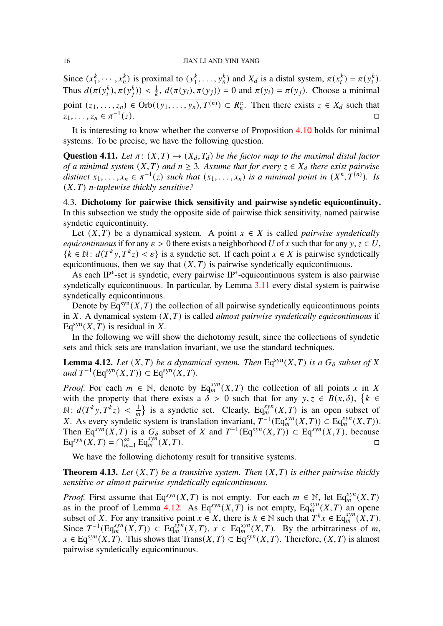Since  $(x_1^k)$  $x_1^k, \dots, x_n^k$ ) is proximal to  $(y_1^k)$  $x_1^k, \ldots, y_n^k$  and  $X_d$  is a distal system,  $\pi(x_i^k)$  $\binom{k}{i} = \pi(y_i^k)$  $\binom{k}{i}$ . Thus  $d(\pi(y_i^k))$  $\binom{k}{i}, \pi(y_i^k)$  $\pi_k^{(k)}$ ) <  $\frac{1}{k}$ ,  $d(\pi(y_i), \pi(y_j)) = 0$  and  $\pi(y_i) = \pi(y_j)$ . Choose a minimal point  $(z_1, \ldots, z_n) \in \overline{Orb((y_1, \ldots, y_n), T^{(n)})} \subset R_n^{\pi}$ . Then there exists  $z \in X_d$  such that  $z_1, \ldots, z_n \in \pi^{-1}$  $(z).$ 

It is interesting to know whether the converse of Proposition [4.10](#page-14-1) holds for minimal systems. To be precise, we have the following question.

**Question 4.11.** *Let*  $\pi$  :  $(X, T) \rightarrow (X_d, T_d)$  *be the factor map to the maximal distal factor of a minimal system*  $(X, T)$  *and*  $n \geq 3$ *. Assume that for every*  $z \in X_d$  *there exist pairwise* distinct  $x_1, \ldots, x_n \in \pi^{-1}(z)$  such that  $(x_1, \ldots, x_n)$  is a minimal point in  $(X^n, T^{(n)})$ . Is  $(X, T)$  *n*-tuplewise thickly sensitive?

4.3. **Dichotomy for pairwise thick sensitivity and pairwise syndetic equicontinuity.** In this subsection we study the opposite side of pairwise thick sensitivity, named pairwise syndetic equicontinuity.

Let  $(X, T)$  be a dynamical system. A point  $x \in X$  is called *pairwise syndetically equicontinuous* if for any  $\varepsilon > 0$  there exists a neighborhood U of x such that for any y,  $z \in U$ ,  $\{k \in \mathbb{N} : d(T^k y, T^k z) < \varepsilon\}$  is a syndetic set. If each point  $x \in X$  is pairwise syndetically equicontinuous, then we say that  $(X, T)$  is pairwise syndetically equicontinuous.

As each IP<sup>∗</sup> -set is syndetic, every pairwise IP<sup>∗</sup> -equicontinuous system is also pairwise syndetically equicontinuous. In particular, by Lemma [3.11](#page-8-0) every distal system is pairwise syndetically equicontinuous.

Denote by  $Eq<sup>syn</sup>(X, T)$  the collection of all pairwise syndetically equicontinuous points in  $X$ . A dynamical system  $(X, T)$  is called *almost pairwise syndetically equicontinuous* if  $Eq<sup>syn</sup>(X, T)$  is residual in X.

In the following we will show the dichotomy result, since the collections of syndetic sets and thick sets are translation invariant, we use the standard techniques.

<span id="page-15-1"></span>**Lemma 4.12.** Let  $(X, T)$  be a dynamical system. Then  $Eq^{syn}(X, T)$  is a  $G_{\delta}$  subset of X  $and T^{-1}(\text{Eq}^{\text{syn}}(X,T)) \subset \text{Eq}^{\text{syn}}(X,T).$ 

*Proof.* For each  $m \in \mathbb{N}$ , denote by Eq<sub>m</sub><sup>syn</sup>(X,T) the collection of all points x in X with the property that there exists a  $\delta > 0$  such that for any  $y, z \in B(x, \delta)$ ,  $\{k \in B(x, \delta)\}$  $\mathbb{N}: d(T^k y, T^k z) < \frac{1}{m}$  is a syndetic set. Clearly, Eq<sub>m</sub>  $(X, T)$  is an open subset of X. As every syndetic system is translation invariant,  $T^{-1}(\text{Eq}_m^{syn}(X,T)) \subset \text{Eq}_m^{syn}(X,T)$ ). Then Eq<sup>syn</sup>(X,T) is a  $G_{\delta}$  subset of X and  $T^{-1}(\text{Eq}^{syn}(X,T)) \subset \text{Eq}^{syn}(X,T)$ , because Eq<sup>syn</sup>(X, T) =  $\bigcap_{m=1}^{\infty}$  Eq<sub>syn</sub>  $\sum_{m}^{syn}(X,T).$ 

We have the following dichotomy result for transitive systems.

<span id="page-15-0"></span>**Theorem 4.13.** Let  $(X, T)$  be a transitive system. Then  $(X, T)$  is either pairwise thickly *sensitive or almost pairwise syndetically equicontinuous.*

*Proof.* First assume that Eq<sup>syn</sup>(*X,T*) is not empty. For each  $m \in \mathbb{N}$ , let Eq<sub>m</sub><sup>syn</sup>(*X,T*) as in the proof of Lemma [4.12.](#page-15-1) As  $Eq^{syn}(X,T)$  is not empty,  $Eq^{syn}_m(X,T)$  an opened subset of X. For any transitive point  $x \in X$ , there is  $k \in \mathbb{N}$  such that  $T^k x \in Eq_m^{syn}(X,T)$ . Since  $T^{-1}(\text{Eq}_m^{syn}(X,T)) \subset \text{Eq}_m^{syn}(X,T)$ ,  $x \in \text{Eq}_m^{syn}(X,T)$ . By the arbitrariness of m,  $x \in Eq^{syn}(X, T)$ . This shows that Trans $(X, T) \subset Eq^{syn}(X, T)$ . Therefore,  $(X, T)$  is almost pairwise syndetically equicontinuous.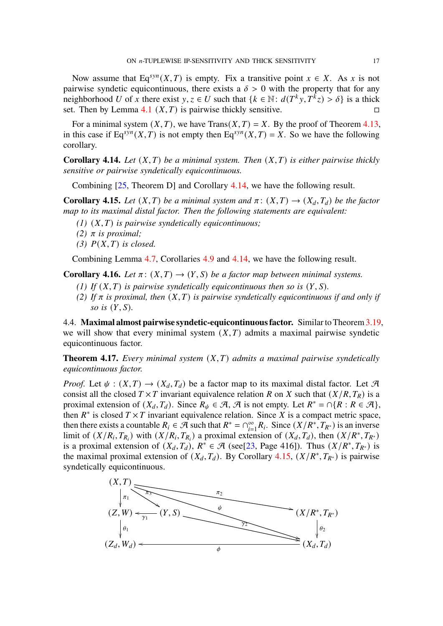Now assume that Eq<sup>syn</sup>(X, T) is empty. Fix a transitive point  $x \in X$ . As x is not pairwise syndetic equicontinuous, there exists a  $\delta > 0$  with the property that for any neighborhood U of x there exist  $y, z \in U$  such that  $\{k \in \mathbb{N} : d(T^k y, T^k z) > \delta\}$  is a thick set. Then by Lemma [4.1](#page-11-1)  $(X, T)$  is pairwise thickly sensitive.

For a minimal system  $(X, T)$ , we have Trans $(X, T) = X$ . By the proof of Theorem [4.13,](#page-15-0) in this case if Eq<sup>syn</sup>(X,T) is not empty then Eq<sup>syn</sup>(X,T) = X. So we have the following corollary.

<span id="page-16-0"></span>**Corollary 4.14.** Let  $(X, T)$  be a minimal system. Then  $(X, T)$  is either pairwise thickly *sensitive or pairwise syndetically equicontinuous.*

Combining [\[25,](#page-18-4) Theorem D] and Corollary [4.14,](#page-16-0) we have the following result.

<span id="page-16-2"></span>**Corollary 4.15.** *Let*  $(X, T)$  *be a minimal system and*  $\pi$ :  $(X, T) \rightarrow (X_d, T_d)$  *be the factor map to its maximal distal factor. Then the following statements are equivalent:*

- $(1)$   $(X, T)$  *is pairwise syndetically equicontinuous;*
- *(2)*  $\pi$  *is proximal*;
- $(3)$   $P(X, T)$  *is closed.*

Combining Lemma [4.7,](#page-13-0) Corollaries [4.9](#page-14-0) and [4.14,](#page-16-0) we have the following result.

**Corollary 4.16.** *Let*  $\pi$ :  $(X,T) \rightarrow (Y,S)$  *be a factor map between minimal systems.* 

- *(1)* If  $(X, T)$  is pairwise syndetically equicontinuous then so is  $(Y, S)$ .
- (2) If  $\pi$  is proximal, then  $(X, T)$  is pairwise syndetically equicontinuous if and only if *so is*  $(Y, S)$ *.*

4.4. **Maximal almost pairwise syndetic-equicontinuous factor.** Similar to Theorem[3.19,](#page-10-0) we will show that every minimal system  $(X, T)$  admits a maximal pairwise syndetic equicontinuous factor.

<span id="page-16-1"></span>**Theorem 4.17.** *Every minimal system*  $(X, T)$  *admits a maximal pairwise syndetically equicontinuous factor.*

*Proof.* Let  $\psi : (X,T) \to (X_d, T_d)$  be a factor map to its maximal distal factor. Let  $\mathcal{A}$ consist all the closed  $T \times T$  invariant equivalence relation R on X such that  $(X/R, T_R)$  is a proximal extension of  $(X_d, T_d)$ . Since  $R_{\psi} \in \mathcal{A}, \mathcal{A}$  is not empty. Let  $R^* = \bigcap \{R : R \in \mathcal{A}\}\$ , then  $R^*$  is closed  $T \times T$  invariant equivalence relation. Since X is a compact metric space, then there exists a countable  $R_i \in \mathcal{A}$  such that  $R^* = \bigcap_{i=1}^{\infty} R_i$ . Since  $(X/R^*, T_{R^*})$  is an inverse limit of  $(X/R_i, T_{R_i})$  with  $(X/R_i, T_{R_i})$  a proximal extension of  $(X_d, T_d)$ , then  $(X/R^*, T_{R^*})$ is a proximal extension of  $(X_d, T_d)$ ,  $R^* \in \mathcal{A}$  (see[\[23,](#page-18-9) Page 416]). Thus  $(X/R^*, T_{R^*})$  is the maximal proximal extension of  $(X_d, T_d)$ . By Corollary [4.15,](#page-16-2)  $(X/R^*, T_{R^*})$  is pairwise syndetically equicontinuous.

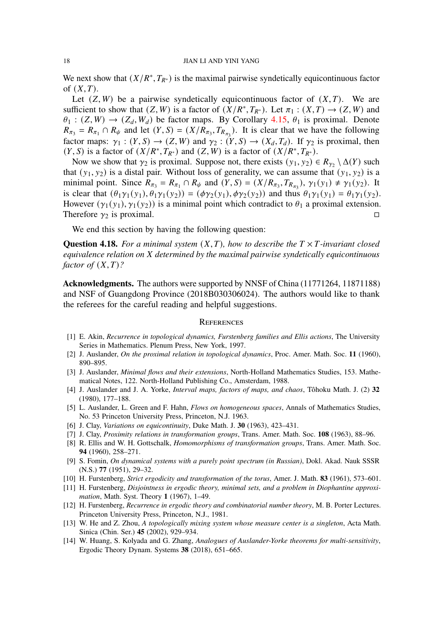We next show that  $(X/R^*, T_{R^*})$  is the maximal pairwise syndetically equicontinuous factor of  $(X, T)$ .

Let  $(Z, W)$  be a pairwise syndetically equicontinuous factor of  $(X, T)$ . We are sufficient to show that  $(Z, W)$  is a factor of  $(X/R^*, T_{R^*})$ . Let  $\pi_1 : (X, T) \to (Z, W)$  and  $\theta_1$  :  $(Z, W) \rightarrow (Z_d, W_d)$  be factor maps. By Corollary [4.15,](#page-16-2)  $\theta_1$  is proximal. Denote  $R_{\pi_3} = R_{\pi_1} \cap R_{\psi}$  and let  $(Y, S) = (X/R_{\pi_3}, T_{R_{\pi_3}})$ . It is clear that we have the following factor maps:  $\gamma_1 : (Y, S) \to (Z, W)$  and  $\gamma_2 : (Y, S) \to (X_d, T_d)$ . If  $\gamma_2$  is proximal, then  $(Y, S)$  is a factor of  $(X/R^*, T_{R^*})$  and  $(Z, W)$  is a factor of  $(X/R^*, T_{R^*})$ .

Now we show that  $\gamma_2$  is proximal. Suppose not, there exists  $(y_1, y_2) \in R_{\gamma_2} \setminus \Delta(Y)$  such that  $(y_1, y_2)$  is a distal pair. Without loss of generality, we can assume that  $(y_1, y_2)$  is a minimal point. Since  $R_{\pi_3} = R_{\pi_1} \cap R_{\psi}$  and  $(Y, S) = (X/R_{\pi_3}, T_{R_{\pi_3}}), \gamma_1(y_1) \neq \gamma_1(y_2)$ . It is clear that  $(\theta_1\gamma_1(y_1), \theta_1\gamma_1(y_2)) = (\phi\gamma_2(y_1), \phi\gamma_2(y_2))$  and thus  $\theta_1\gamma_1(y_1) = \theta_1\gamma_1(y_2)$ . However  $(\gamma_1(y_1), \gamma_1(y_2))$  is a minimal point which contradict to  $\theta_1$  a proximal extension. Therefore  $\gamma_2$  is proximal.

We end this section by having the following question:

**Question 4.18.** For a minimal system  $(X, T)$ , how to describe the  $T \times T$ -invariant closed *equivalence relation on determined by the maximal pairwise syndetically equicontinuous factor of*  $(X, T)$ ?

**Acknowledgments.** The authors were supported by NNSF of China (11771264, 11871188) and NSF of Guangdong Province (2018B030306024). The authors would like to thank the referees for the careful reading and helpful suggestions.

# **REFERENCES**

- <span id="page-17-3"></span>[1] E. Akin, *Recurrence in topological dynamics, Furstenberg families and Ellis actions*, The University Series in Mathematics. Plenum Press, New York, 1997.
- <span id="page-17-10"></span>[2] J. Auslander, *On the proximal relation in topological dynamics*, Proc. Amer. Math. Soc. **11** (1960), 890–895.
- <span id="page-17-8"></span>[3] J. Auslander, *Minimal flows and their extensions*, North-Holland Mathematics Studies, 153. Mathematical Notes, 122. North-Holland Publishing Co., Amsterdam, 1988.
- <span id="page-17-0"></span>[4] J. Auslander and J. A. Yorke, *Interval maps, factors of maps, and chaos*, Tôhoku Math. J. (2) **32** (1980), 177–188.
- <span id="page-17-6"></span>[5] L. Auslander, L. Green and F. Hahn, *Flows on homogeneous spaces*, Annals of Mathematics Studies, No. 53 Princeton University Press, Princeton, N.J. 1963.
- <span id="page-17-2"></span>[6] J. Clay, *Variations on equicontinuity*, Duke Math. J. **30** (1963), 423–431.
- <span id="page-17-12"></span>[7] J. Clay, *Proximity relations in transformation groups*, Trans. Amer. Math. Soc. **108** (1963), 88–96.
- <span id="page-17-11"></span>[8] R. Ellis and W. H. Gottschalk, *Homomorphisms of transformation groups*, Trans. Amer. Math. Soc. **94** (1960), 258–271.
- <span id="page-17-1"></span>[9] S. Fomin, *On dynamical systems with a purely point spectrum (in Russian)*, Dokl. Akad. Nauk SSSR (N.S.) **77** (1951), 29–32.
- <span id="page-17-7"></span>[10] H. Furstenberg, *Strict ergodicity and transformation of the torus*, Amer. J. Math. **83** (1961), 573–601.
- <span id="page-17-9"></span>[11] H. Furstenberg, *Disjointness in ergodic theory, minimal sets, and a problem in Diophantine approximation*, Math. Syst. Theory **1** (1967), 1–49.
- <span id="page-17-4"></span>[12] H. Furstenberg, *Recurrence in ergodic theory and combinatorial number theory*, M. B. Porter Lectures. Princeton University Press, Princeton, N.J., 1981.
- <span id="page-17-13"></span>[13] W. He and Z. Zhou, *A topologically mixing system whose measure center is a singleton*, Acta Math. Sinica (Chin. Ser.) **45** (2002), 929–934.
- <span id="page-17-5"></span>[14] W. Huang, S. Kolyada and G. Zhang, *Analogues of Auslander-Yorke theorems for multi-sensitivity*, Ergodic Theory Dynam. Systems **38** (2018), 651–665.